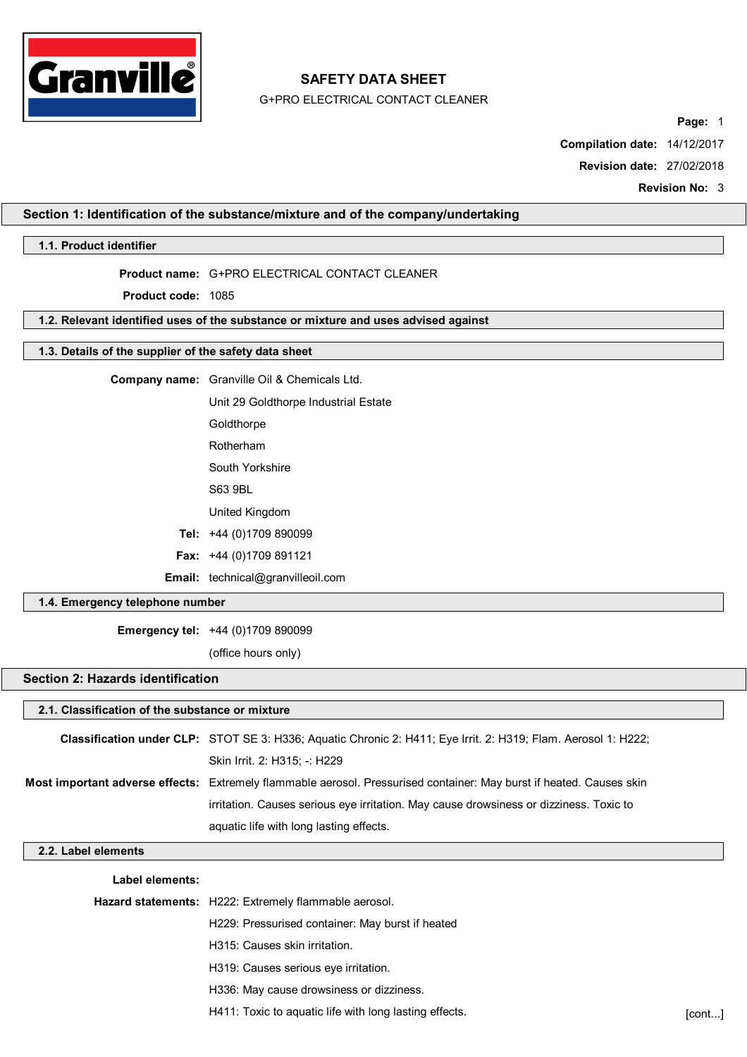

G+PRO ELECTRICAL CONTACT CLEANER

**Page:** 1

**Compilation date:** 14/12/2017

**Revision date:** 27/02/2018

**Revision No:** 3

# **Section 1: Identification of the substance/mixture and of the company/undertaking**

## **1.1. Product identifier**

# **Product name:** G+PRO ELECTRICAL CONTACT CLEANER

**Product code:** 1085

### **1.2. Relevant identified uses of the substance or mixture and uses advised against**

## **1.3. Details of the supplier of the safety data sheet**

|  | <b>Company name:</b> Granville Oil & Chemicals Ltd. |  |
|--|-----------------------------------------------------|--|
|--|-----------------------------------------------------|--|

Unit 29 Goldthorpe Industrial Estate

Goldthorpe

Rotherham

South Yorkshire

S63 9BL

United Kingdom

**Tel:** +44 (0)1709 890099

**Fax:** +44 (0)1709 891121

**Email:** [technical@granvilleoil.com](mailto:technical@granvilleoil.com)

## **1.4. Emergency telephone number**

**Emergency tel:** +44 (0)1709 890099

(office hours only)

## **Section 2: Hazards identification**

## **2.1. Classification of the substance or mixture**

| <b>Classification under CLP:</b> STOT SE 3: H336; Aguatic Chronic 2: H411; Eye Irrit. 2: H319; Flam. Aerosol 1: H222; |
|-----------------------------------------------------------------------------------------------------------------------|
| Skin Irrit. 2: H315; -: H229                                                                                          |
| Most important adverse effects: Extremely flammable aerosol. Pressurised container: May burst if heated. Causes skin  |
| irritation. Causes serious eye irritation. May cause drowsiness or dizziness. Toxic to                                |
| aquatic life with long lasting effects.                                                                               |

#### **2.2. Label elements**

| Label elements: |                                                        |        |
|-----------------|--------------------------------------------------------|--------|
|                 | Hazard statements: H222: Extremely flammable aerosol.  |        |
|                 | H229: Pressurised container: May burst if heated       |        |
|                 | H315: Causes skin irritation.                          |        |
|                 | H319: Causes serious eye irritation.                   |        |
|                 | H336: May cause drowsiness or dizziness.               |        |
|                 | H411: Toxic to aquatic life with long lasting effects. | [cont] |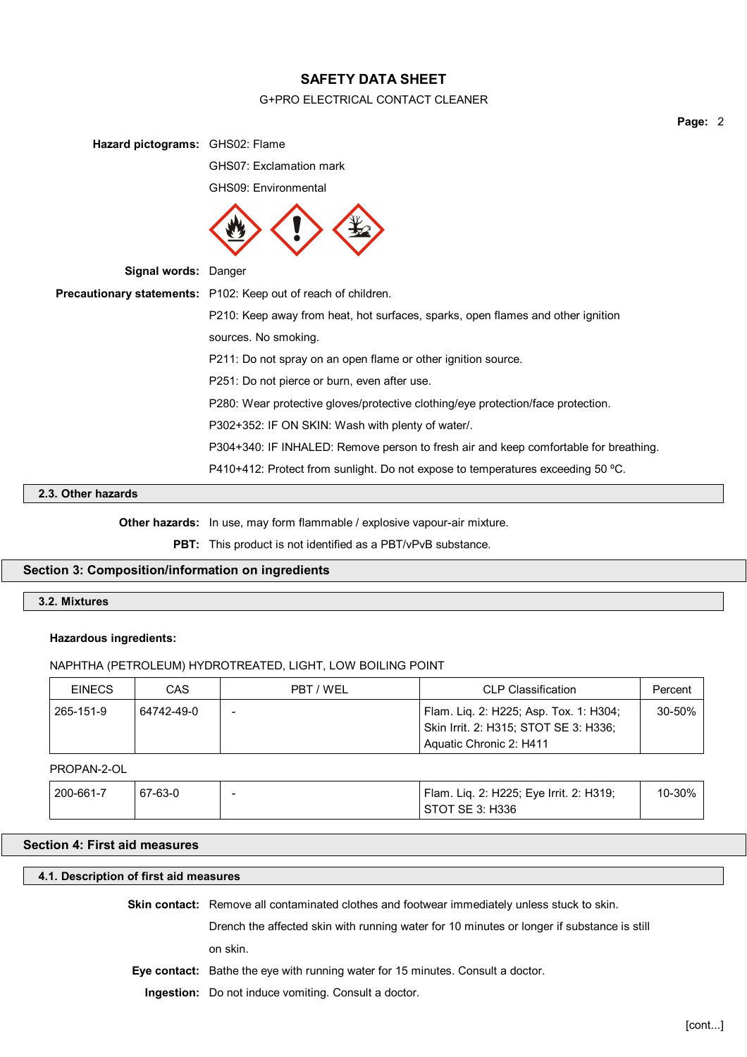## G+PRO ELECTRICAL CONTACT CLEANER

**Page:** 2

| Hazard pictograms: GHS02: Flame |                                                                                      |
|---------------------------------|--------------------------------------------------------------------------------------|
|                                 | GHS07: Exclamation mark                                                              |
|                                 | GHS09: Environmental                                                                 |
|                                 |                                                                                      |
| Signal words: Danger            |                                                                                      |
|                                 | Precautionary statements: P102: Keep out of reach of children.                       |
|                                 | P210: Keep away from heat, hot surfaces, sparks, open flames and other ignition      |
|                                 | sources. No smoking.                                                                 |
|                                 | P211: Do not spray on an open flame or other ignition source.                        |
|                                 | P251: Do not pierce or burn, even after use.                                         |
|                                 | P280: Wear protective gloves/protective clothing/eye protection/face protection.     |
|                                 | P302+352: IF ON SKIN: Wash with plenty of water/.                                    |
|                                 | P304+340: IF INHALED: Remove person to fresh air and keep comfortable for breathing. |
|                                 | $P410+412$ : Protect from sunlight. Do not expose to temperatures exceeding 50 °C.   |

## **2.3. Other hazards**

**Other hazards:** In use, may form flammable / explosive vapour-air mixture.

**PBT:** This product is not identified as a PBT/vPvB substance.

# **Section 3: Composition/information on ingredients**

### **3.2. Mixtures**

### **Hazardous ingredients:**

## NAPHTHA (PETROLEUM) HYDROTREATED, LIGHT, LOW BOILING POINT

| <b>EINECS</b> | CAS        | PBT / WEL | <b>CLP Classification</b>                                                                                  | Percent |
|---------------|------------|-----------|------------------------------------------------------------------------------------------------------------|---------|
| 265-151-9     | 64742-49-0 |           | Flam. Lig. 2: H225; Asp. Tox. 1: H304;<br>Skin Irrit. 2: H315; STOT SE 3: H336;<br>Aquatic Chronic 2: H411 | 30-50%  |

## PROPAN-2-OL

| 200-661-7 | 67-63-0 | Flam. Liq. 2: H225; Eye Irrit. 2: H319; | 10-30% |
|-----------|---------|-----------------------------------------|--------|
|           |         | ' STOT SE 3: H336                       |        |

# **Section 4: First aid measures**

## **4.1. Description of first aid measures**

**Skin contact:** Remove all contaminated clothes and footwear immediately unless stuck to skin.

Drench the affected skin with running water for 10 minutes or longer if substance is still on skin.

**Eye contact:** Bathe the eye with running water for 15 minutes. Consult a doctor.

**Ingestion:** Do not induce vomiting. Consult a doctor.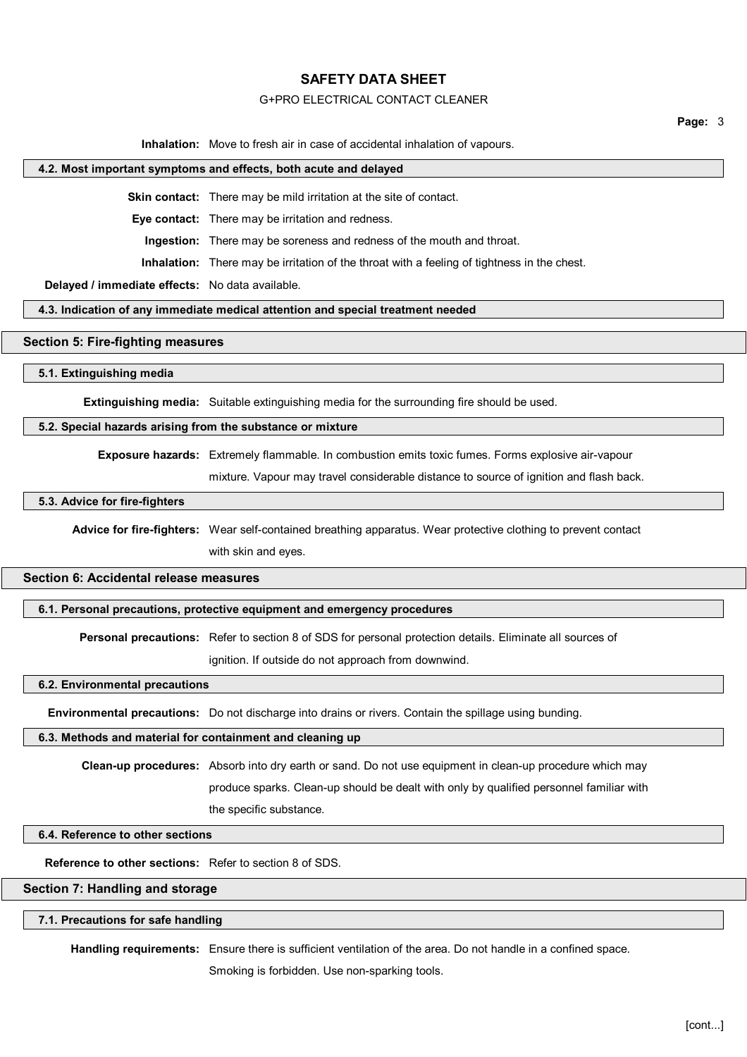## G+PRO ELECTRICAL CONTACT CLEANER

**Inhalation:** Move to fresh air in case of accidental inhalation of vapours.

#### **4.2. Most important symptoms and effects, both acute and delayed**

**Skin contact:** There may be mild irritation at the site of contact.

**Eye contact:** There may be irritation and redness.

**Ingestion:** There may be soreness and redness of the mouth and throat.

**Inhalation:** There may be irritation of the throat with a feeling of tightness in the chest.

#### **Delayed / immediate effects:** No data available.

**4.3. Indication of any immediate medical attention and special treatment needed**

# **Section 5: Fire-fighting measures**

#### **5.1. Extinguishing media**

**Extinguishing media:** Suitable extinguishing media for the surrounding fire should be used.

### **5.2. Special hazards arising from the substance or mixture**

**Exposure hazards:** Extremely flammable. In combustion emits toxic fumes. Forms explosive air-vapour

mixture. Vapour may travel considerable distance to source of ignition and flash back.

### **5.3. Advice for fire-fighters**

**Advice for fire-fighters:** Wear self-contained breathing apparatus. Wear protective clothing to prevent contact

with skin and eyes.

## **Section 6: Accidental release measures**

## **6.1. Personal precautions, protective equipment and emergency procedures**

**Personal precautions:** Refer to section 8 of SDS for personal protection details. Eliminate all sources of

ignition. If outside do not approach from downwind.

## **6.2. Environmental precautions**

**Environmental precautions:** Do not discharge into drains or rivers. Contain the spillage using bunding.

## **6.3. Methods and material for containment and cleaning up**

**Clean-up procedures:** Absorb into dry earth or sand. Do not use equipment in clean-up procedure which may produce sparks. Clean-up should be dealt with only by qualified personnel familiar with the specific substance.

#### **6.4. Reference to other sections**

**Reference to other sections:** Refer to section 8 of SDS.

## **Section 7: Handling and storage**

#### **7.1. Precautions for safe handling**

**Handling requirements:** Ensure there is sufficient ventilation of the area. Do not handle in a confined space.

Smoking is forbidden. Use non-sparking tools.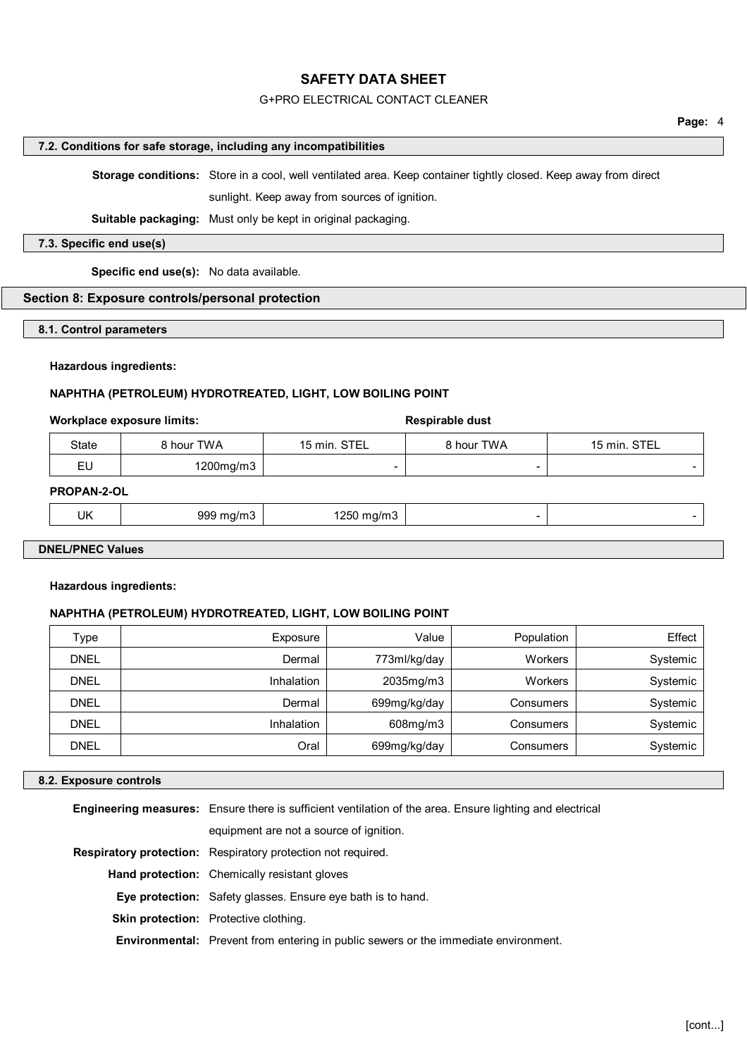## G+PRO ELECTRICAL CONTACT CLEANER

## **Page:** 4

### **7.2. Conditions for safe storage, including any incompatibilities**

**Storage conditions:** Store in a cool, well ventilated area. Keep container tightly closed. Keep away from direct

sunlight. Keep away from sources of ignition.

**Suitable packaging:** Must only be kept in original packaging.

### **7.3. Specific end use(s)**

**Specific end use(s):** No data available.

## **Section 8: Exposure controls/personal protection**

## **8.1. Control parameters**

## **Hazardous ingredients:**

## **NAPHTHA (PETROLEUM) HYDROTREATED, LIGHT, LOW BOILING POINT**

## **Workplace exposure limits: Respirable dust**

| State | 8 hour TWA | 15 min. STEL | <b>8 hour TWA</b> | 15 min. STEL |
|-------|------------|--------------|-------------------|--------------|
| ⊏∪    | 1200mg/m3  |              |                   |              |

# **PROPAN-2-OL**

|  | UK | nη<br>.<br>$-$<br>$  -$<br>$\sim$ | ור:<br><br>$- - - -$<br>. .<br>___ |  |  |
|--|----|-----------------------------------|------------------------------------|--|--|
|--|----|-----------------------------------|------------------------------------|--|--|

## **DNEL/PNEC Values**

### **Hazardous ingredients:**

## **NAPHTHA (PETROLEUM) HYDROTREATED, LIGHT, LOW BOILING POINT**

| Type        | Exposure   | Value        | Population | Effect   |
|-------------|------------|--------------|------------|----------|
| <b>DNEL</b> | Dermal     | 773ml/kg/day | Workers    | Systemic |
| <b>DNEL</b> | Inhalation | 2035mg/m3    | Workers    | Systemic |
| <b>DNEL</b> | Dermal     | 699mg/kg/day | Consumers  | Systemic |
| <b>DNEL</b> | Inhalation | 608mg/m3     | Consumers  | Systemic |
| <b>DNEL</b> | Oral       | 699mg/kg/day | Consumers  | Systemic |

## **8.2. Exposure controls**

| <b>Engineering measures:</b> Ensure there is sufficient ventilation of the area. Ensure lighting and electrical |  |  |
|-----------------------------------------------------------------------------------------------------------------|--|--|
| equipment are not a source of ignition.                                                                         |  |  |
| <b>Respiratory protection:</b> Respiratory protection not required.                                             |  |  |
| <b>Hand protection:</b> Chemically resistant gloves                                                             |  |  |
| Eye protection: Safety glasses. Ensure eye bath is to hand.                                                     |  |  |
| <b>Skin protection:</b> Protective clothing.                                                                    |  |  |
| <b>Environmental:</b> Prevent from entering in public sewers or the immediate environment.                      |  |  |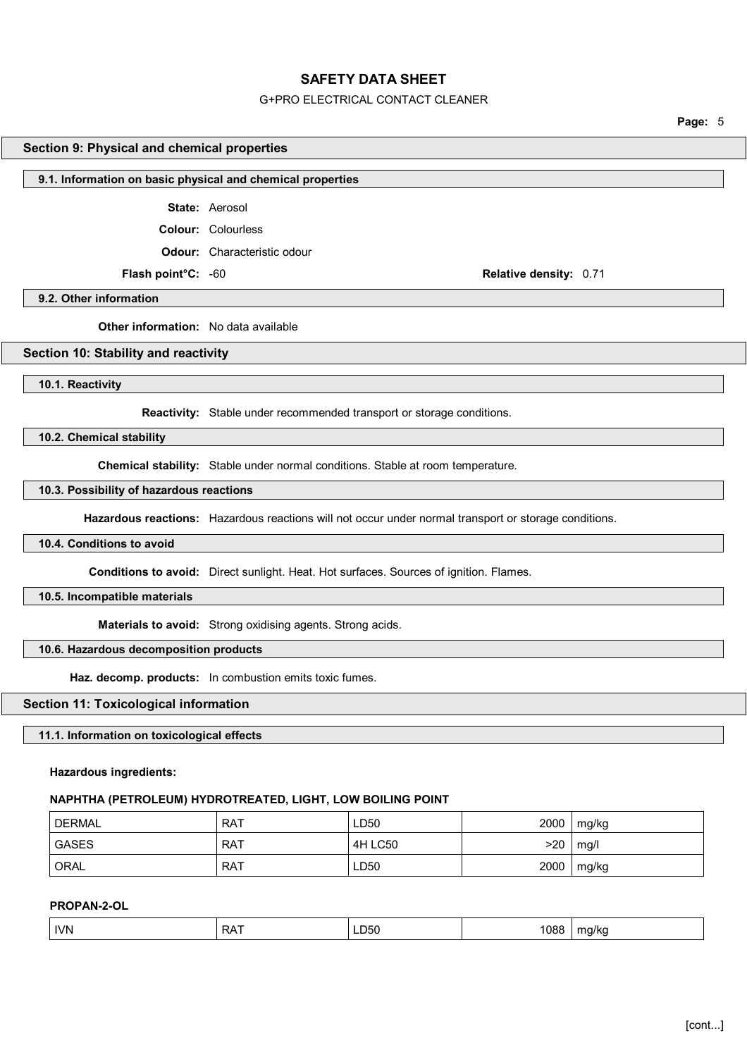# G+PRO ELECTRICAL CONTACT CLEANER

**Page:** 5

### **Section 9: Physical and chemical properties**

#### **9.1. Information on basic physical and chemical properties**

**State:** Aerosol

**Colour:** Colourless

**Odour:** Characteristic odour

**Flash point°C:** -60 **Relative density:** 0.71

**9.2. Other information**

**Other information:** No data available

## **Section 10: Stability and reactivity**

**10.1. Reactivity**

**Reactivity:** Stable under recommended transport or storage conditions.

**10.2. Chemical stability**

**Chemical stability:** Stable under normal conditions. Stable at room temperature.

## **10.3. Possibility of hazardous reactions**

**Hazardous reactions:** Hazardous reactions will not occur under normal transport or storage conditions.

## **10.4. Conditions to avoid**

**Conditions to avoid:** Direct sunlight. Heat. Hot surfaces. Sources of ignition. Flames.

**10.5. Incompatible materials**

**Materials to avoid:** Strong oxidising agents. Strong acids.

## **10.6. Hazardous decomposition products**

**Haz. decomp. products:** In combustion emits toxic fumes.

#### **Section 11: Toxicological information**

#### **11.1. Information on toxicological effects**

**Hazardous ingredients:**

#### **NAPHTHA (PETROLEUM) HYDROTREATED, LIGHT, LOW BOILING POINT**

| DERMAL | <b>RAT</b> | LD50    | 2000 | mg/kg |
|--------|------------|---------|------|-------|
| GASES  | <b>RAT</b> | 4H LC50 | >20  | mg/l  |
| ORAL   | RAT        | LD50    | 2000 | mg/kg |

### **PROPAN-2-OL**

| <b>IVN</b> | <b>RAT</b> | LD50 | 1088 | ma/ka |
|------------|------------|------|------|-------|
|------------|------------|------|------|-------|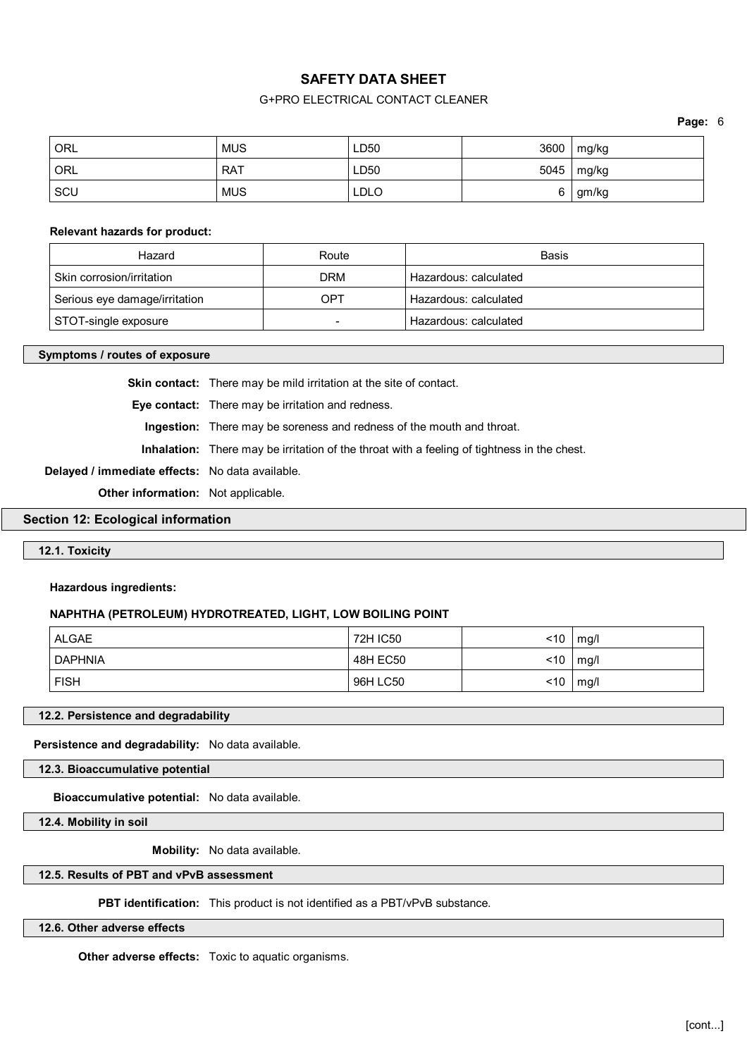# G+PRO ELECTRICAL CONTACT CLEANER

**Page:** 6

| ORL <sup>'</sup> | <b>MUS</b> | LD50        | 3600 | mg/kg |
|------------------|------------|-------------|------|-------|
| <b>ORL</b>       | , RAT      | LD50        | 5045 | mg/kg |
| SCU              | <b>MUS</b> | <b>LDLO</b> | 6    | gm/kg |

### **Relevant hazards for product:**

| Hazard                        | Route | Basis                 |
|-------------------------------|-------|-----------------------|
| Skin corrosion/irritation     | DRM   | Hazardous: calculated |
| Serious eye damage/irritation | OPT   | Hazardous: calculated |
| STOT-single exposure          |       | Hazardous: calculated |

#### **Symptoms / routes of exposure**

**Skin contact:** There may be mild irritation at the site of contact.

**Eye contact:** There may be irritation and redness.

**Ingestion:** There may be soreness and redness of the mouth and throat.

**Inhalation:** There may be irritation of the throat with a feeling of tightness in the chest.

**Delayed / immediate effects:** No data available.

**Other information:** Not applicable.

## **Section 12: Ecological information**

## **12.1. Toxicity**

### **Hazardous ingredients:**

## **NAPHTHA (PETROLEUM) HYDROTREATED, LIGHT, LOW BOILING POINT**

| ALGAE       | 72H IC50        | <10 | mg/l         |
|-------------|-----------------|-----|--------------|
| DAPHNIA     | <b>48H EC50</b> | <10 | mg/l         |
| <b>FISH</b> | 96H LC50        | ~10 | $\vert$ mg/l |

## **12.2. Persistence and degradability**

**Persistence and degradability:** No data available.

**12.3. Bioaccumulative potential**

**Bioaccumulative potential:** No data available.

**12.4. Mobility in soil**

**Mobility:** No data available.

# **12.5. Results of PBT and vPvB assessment**

**PBT identification:** This product is not identified as a PBT/vPvB substance.

## **12.6. Other adverse effects**

**Other adverse effects:** Toxic to aquatic organisms.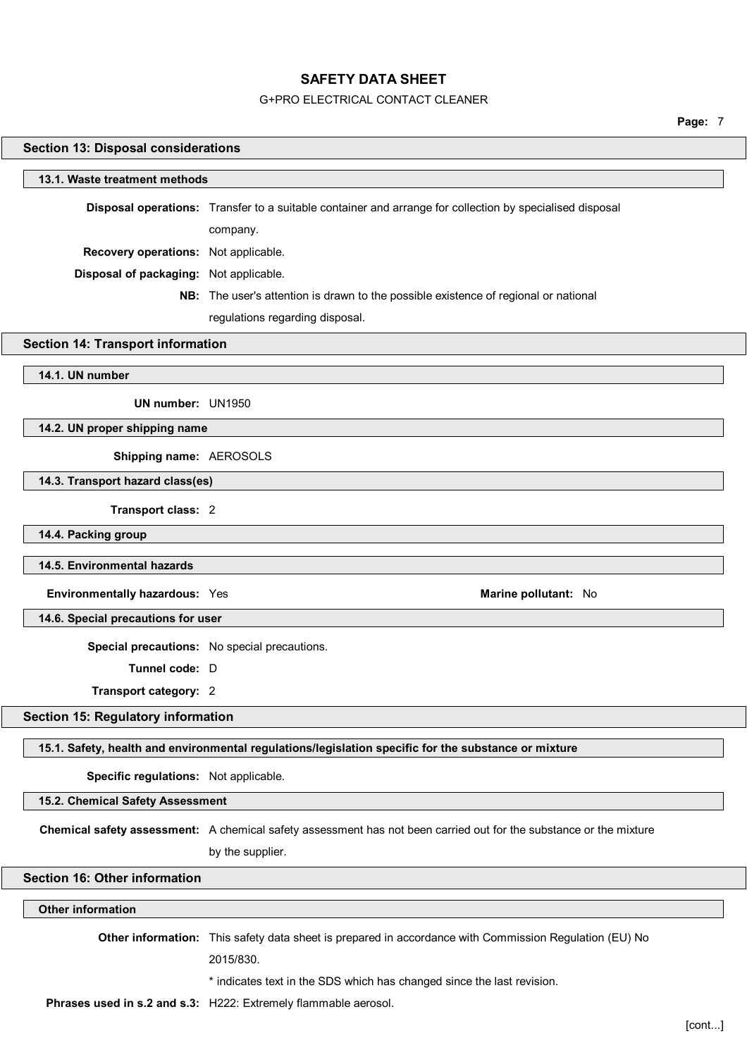# G+PRO ELECTRICAL CONTACT CLEANER

**Page:** 7

| <b>Section 13: Disposal considerations</b> |                                                                                                                     |  |  |  |
|--------------------------------------------|---------------------------------------------------------------------------------------------------------------------|--|--|--|
| 13.1. Waste treatment methods              |                                                                                                                     |  |  |  |
|                                            | Disposal operations: Transfer to a suitable container and arrange for collection by specialised disposal            |  |  |  |
|                                            | company.                                                                                                            |  |  |  |
| Recovery operations: Not applicable.       |                                                                                                                     |  |  |  |
| Disposal of packaging: Not applicable.     |                                                                                                                     |  |  |  |
|                                            | NB: The user's attention is drawn to the possible existence of regional or national                                 |  |  |  |
|                                            | regulations regarding disposal.                                                                                     |  |  |  |
| <b>Section 14: Transport information</b>   |                                                                                                                     |  |  |  |
| 14.1. UN number                            |                                                                                                                     |  |  |  |
| UN number: UN1950                          |                                                                                                                     |  |  |  |
| 14.2. UN proper shipping name              |                                                                                                                     |  |  |  |
| Shipping name: AEROSOLS                    |                                                                                                                     |  |  |  |
| 14.3. Transport hazard class(es)           |                                                                                                                     |  |  |  |
| Transport class: 2                         |                                                                                                                     |  |  |  |
| 14.4. Packing group                        |                                                                                                                     |  |  |  |
| 14.5. Environmental hazards                |                                                                                                                     |  |  |  |
| Environmentally hazardous: Yes             | Marine pollutant: No                                                                                                |  |  |  |
|                                            | 14.6. Special precautions for user                                                                                  |  |  |  |
|                                            | Special precautions: No special precautions.                                                                        |  |  |  |
| Tunnel code: D                             |                                                                                                                     |  |  |  |
| Transport category: 2                      |                                                                                                                     |  |  |  |
| <b>Section 15: Regulatory information</b>  |                                                                                                                     |  |  |  |
|                                            | 15.1. Safety, health and environmental regulations/legislation specific for the substance or mixture                |  |  |  |
| Specific regulations: Not applicable.      |                                                                                                                     |  |  |  |
| 15.2. Chemical Safety Assessment           |                                                                                                                     |  |  |  |
|                                            | Chemical safety assessment: A chemical safety assessment has not been carried out for the substance or the mixture  |  |  |  |
|                                            | by the supplier.                                                                                                    |  |  |  |
| <b>Section 16: Other information</b>       |                                                                                                                     |  |  |  |
|                                            |                                                                                                                     |  |  |  |
| <b>Other information</b>                   |                                                                                                                     |  |  |  |
|                                            |                                                                                                                     |  |  |  |
|                                            | Other information: This safety data sheet is prepared in accordance with Commission Regulation (EU) No<br>2015/830. |  |  |  |
|                                            | * indicates text in the SDS which has changed since the last revision.                                              |  |  |  |

**Phrases used in s.2 and s.3:** H222: Extremely flammable aerosol.